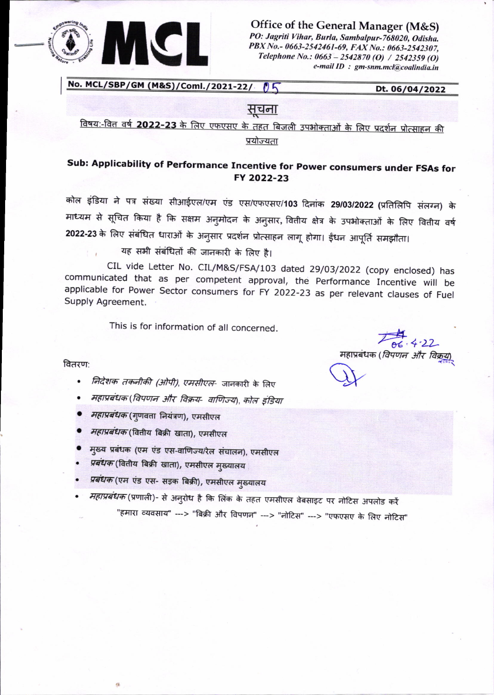

Office of the General Manager (M&S) PO: Jagriti Vihar, Burla, Sambalpur-768020, Odisha. PBX No.- 0663-2542461-69, FAX No.: 0663-2542307, Telephone No.: 0663 - 2542870 (O) / 2542359 (O) e-mail ID : gm-snm.mcl@coalindia.in

No. MCL/SBP/GM (M&S)/Coml./2021-22/ 05

Dt. 06/04/2022

### सचना

<u>विषय:-वित्त वर्ष 2022-23 के लिए एफएसए के तहत बिजली उपभोक्ताओं के लिए प्रदर्शन प्रोत्साहन की </u> प्रयोज्यता

## Sub: Applicability of Performance Incentive for Power consumers under FSAs for FY 2022-23

कोल इंडिया ने पत्र संख्या सीआईएल/एम एंड एस/एफएसए/103 दिनांक 29/03/2022 (प्रतिलिपि संलग्न) के माध्यम से सूचित किया है कि सक्षम अनुमोदन के अनुसार, वितीय क्षेत्र के उपभोक्ताओं के लिए वितीय वर्ष 2022-23 के लिए संबंधित धाराओं के अनुसार प्रदर्शन प्रोत्साहन लागू होगा। ईंधन आपूर्ति समझौता।

यह सभी संबंधितों की जानकारी के लिए है।

CIL vide Letter No. CIL/M&S/FSA/103 dated 29/03/2022 (copy enclosed) has communicated that as per competent approval, the Performance Incentive will be applicable for Power Sector consumers for FY 2022-23 as per relevant clauses of Fuel Supply Agreement.

This is for information of all concerned.

#### वितरण:

- *निर्देशक तकनीकी (ओपी), एमसीएल* जानकारी के लिए  $\bullet$
- महाप्रबंधक(विपणन और विक्रय- वाणिज्य), कोल इंडिया
- महाप्रबंधक (गुणवत्ता नियंत्रण), एमसीएल
- महाप्रबंधक (वितीय बिक्री खाता), एमसीएल
- मुख्य प्रबंधक (एम एंड एस-वाणिज्य/रेल संचालन), एमसीएल
- *प्रबंधक* (वितीय बिक्री खाता), एमसीएल मुख्यालय
- *प्रबंधक* (एम एंड एस- सड़क बिक्री), एमसीएल मुख्यालय

*महाप्रबंधक* (प्रणाली)- से अनुरोध है कि लिंक के तहत एमसीएल वेबसाइट पर नोटिस अपलोड करें "हमारा व्यवसाय" ---> "बिक्री और विपणन" ---> "नोटिस" ---> "एफएसए के लिए नोटिस"

06 . 4 . 22<br>महाप्रबंधक (*विपणन और विक्रुय*)